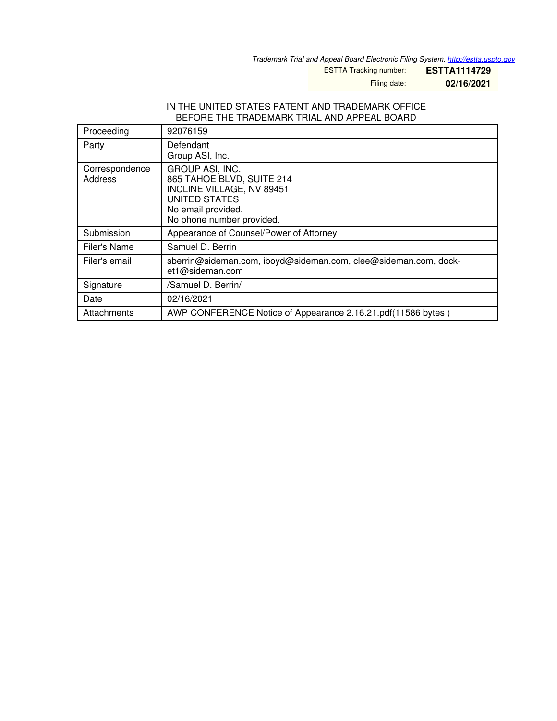*Trademark Trial and Appeal Board Electronic Filing System. <http://estta.uspto.gov>*

ESTTA Tracking number: **ESTTA1114729**

Filing date: **02/16/2021**

#### IN THE UNITED STATES PATENT AND TRADEMARK OFFICE BEFORE THE TRADEMARK TRIAL AND APPEAL BOARD

| Proceeding                | 92076159                                                                                                                                      |
|---------------------------|-----------------------------------------------------------------------------------------------------------------------------------------------|
| Party                     | Defendant<br>Group ASI, Inc.                                                                                                                  |
| Correspondence<br>Address | GROUP ASI, INC.<br>865 TAHOE BLVD, SUITE 214<br>INCLINE VILLAGE, NV 89451<br>UNITED STATES<br>No email provided.<br>No phone number provided. |
| Submission                | Appearance of Counsel/Power of Attorney                                                                                                       |
| Filer's Name              | Samuel D. Berrin                                                                                                                              |
| Filer's email             | sberrin@sideman.com, iboyd@sideman.com, clee@sideman.com, dock-<br>et1@sideman.com                                                            |
| Signature                 | /Samuel D. Berrin/                                                                                                                            |
| Date                      | 02/16/2021                                                                                                                                    |
| Attachments               | AWP CONFERENCE Notice of Appearance 2.16.21.pdf(11586 bytes)                                                                                  |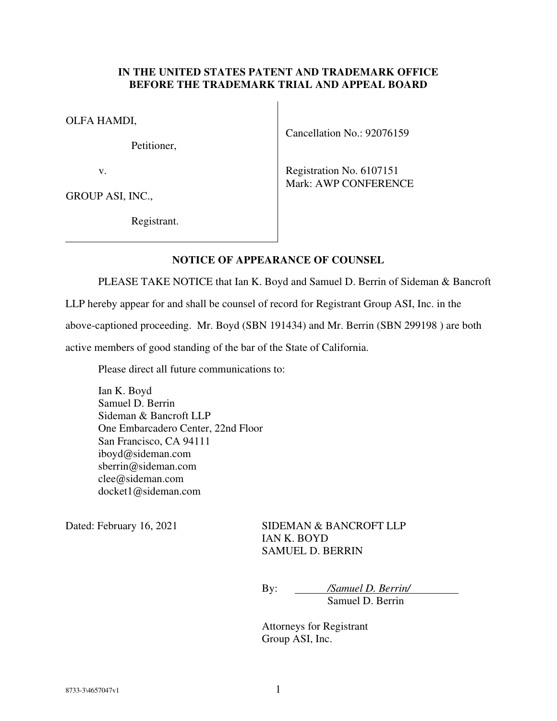#### **IN THE UNITED STATES PATENT AND TRADEMARK OFFICE BEFORE THE TRADEMARK TRIAL AND APPEAL BOARD**

 $\overline{\phantom{a}}$ 

OLFA HAMDI,

Petitioner,

v.

GROUP ASI, INC.,

Registrant.

Cancellation No.: 92076159

Registration No. 6107151 Mark: AWP CONFERENCE

### **NOTICE OF APPEARANCE OF COUNSEL**

PLEASE TAKE NOTICE that Ian K. Boyd and Samuel D. Berrin of Sideman & Bancroft

LLP hereby appear for and shall be counsel of record for Registrant Group ASI, Inc. in the

above-captioned proceeding. Mr. Boyd (SBN 191434) and Mr. Berrin (SBN 299198 ) are both

active members of good standing of the bar of the State of California.

Please direct all future communications to:

Ian K. Boyd Samuel D. Berrin Sideman & Bancroft LLP One Embarcadero Center, 22nd Floor San Francisco, CA 94111 iboyd@sideman.com sberrin@sideman.com clee@sideman.com docket1@sideman.com

Dated: February 16, 2021 SIDEMAN & BANCROFT LLP IAN K. BOYD SAMUEL D. BERRIN

> By: */Samuel D. Berrin/* Samuel D. Berrin

 Attorneys for Registrant Group ASI, Inc.